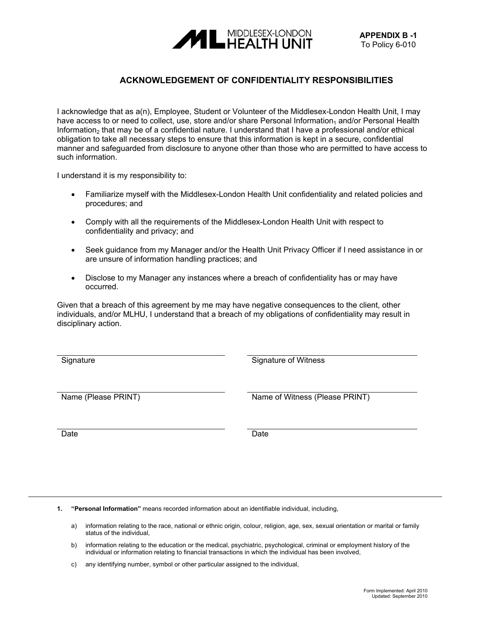## **APPENDIX B -1**<br> **APPENDIX B -1**<br> **APPENDIX B -1** To Policy 6-010

## **ACKNOWLEDGEMENT OF CONFIDENTIALITY RESPONSIBILITIES**

I acknowledge that as a(n), Employee, Student or Volunteer of the Middlesex-London Health Unit, I may have access to or need to collect, use, store and/or share Personal Information, and/or Personal Health Information<sub>2</sub> that may be of a confidential nature. I understand that I have a professional and/or ethical obligation to take all necessary steps to ensure that this information is kept in a secure, confidential manner and safeguarded from disclosure to anyone other than those who are permitted to have access to such information.

I understand it is my responsibility to:

- Familiarize myself with the Middlesex-London Health Unit confidentiality and related policies and procedures; and
- Comply with all the requirements of the Middlesex-London Health Unit with respect to confidentiality and privacy; and
- Seek guidance from my Manager and/or the Health Unit Privacy Officer if I need assistance in or are unsure of information handling practices; and
- Disclose to my Manager any instances where a breach of confidentiality has or may have occurred.

Given that a breach of this agreement by me may have negative consequences to the client, other individuals, and/or MLHU, I understand that a breach of my obligations of confidentiality may result in disciplinary action.

Signature Signature of Witness

Name (Please PRINT) Name of Witness (Please PRINT)

Date **Date Date Date Date Date** 

**1. "Personal Information"** means recorded information about an identifiable individual, including,

- a) information relating to the race, national or ethnic origin, colour, religion, age, sex, sexual orientation or marital or family status of the individual,
- b) information relating to the education or the medical, psychiatric, psychological, criminal or employment history of the individual or information relating to financial transactions in which the individual has been involved,

c) any identifying number, symbol or other particular assigned to the individual,